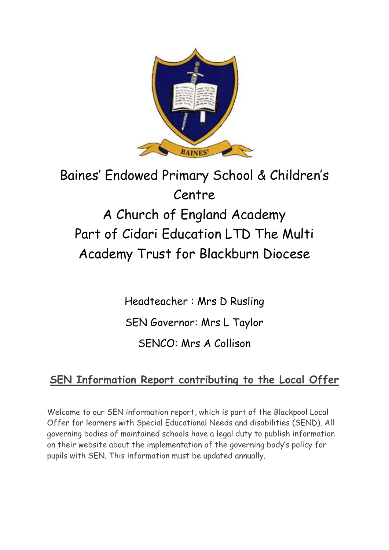

# Baines' Endowed Primary School & Children's Centre A Church of England Academy Part of Cidari Education LTD The Multi Academy Trust for Blackburn Diocese

Headteacher : Mrs D Rusling SEN Governor: Mrs L Taylor SENCO: Mrs A Collison

# **SEN Information Report contributing to the Local Offer**

Welcome to our SEN information report, which is part of the Blackpool Local Offer for learners with Special Educational Needs and disabilities (SEND). All governing bodies of maintained schools have a legal duty to publish information on their website about the implementation of the governing body's policy for pupils with SEN. This information must be updated annually.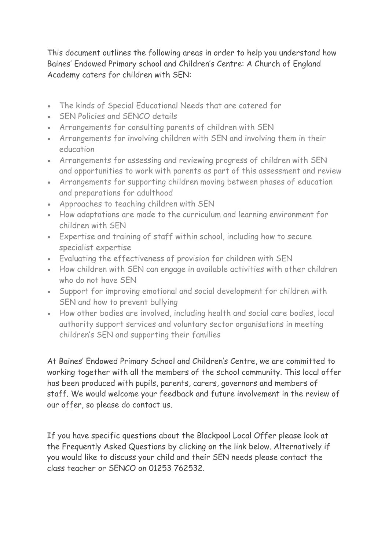This document outlines the following areas in order to help you understand how Baines' Endowed Primary school and Children's Centre: A Church of England Academy caters for children with SEN:

- The kinds of Special Educational Needs that are catered for
- SEN Policies and SENCO details
- Arrangements for consulting parents of children with SEN
- Arrangements for involving children with SEN and involving them in their education
- Arrangements for assessing and reviewing progress of children with SEN and opportunities to work with parents as part of this assessment and review
- Arrangements for supporting children moving between phases of education and preparations for adulthood
- Approaches to teaching children with SEN
- How adaptations are made to the curriculum and learning environment for children with SEN
- Expertise and training of staff within school, including how to secure specialist expertise
- Evaluating the effectiveness of provision for children with SEN
- How children with SEN can engage in available activities with other children who do not have SEN
- Support for improving emotional and social development for children with SEN and how to prevent bullying
- How other bodies are involved, including health and social care bodies, local authority support services and voluntary sector organisations in meeting children's SEN and supporting their families

At Baines' Endowed Primary School and Children's Centre, we are committed to working together with all the members of the school community. This local offer has been produced with pupils, parents, carers, governors and members of staff. We would welcome your feedback and future involvement in the review of our offer, so please do contact us.

If you have specific questions about the Blackpool Local Offer please look at the Frequently Asked Questions by clicking on the link below. Alternatively if you would like to discuss your child and their SEN needs please contact the class teacher or SENCO on 01253 762532.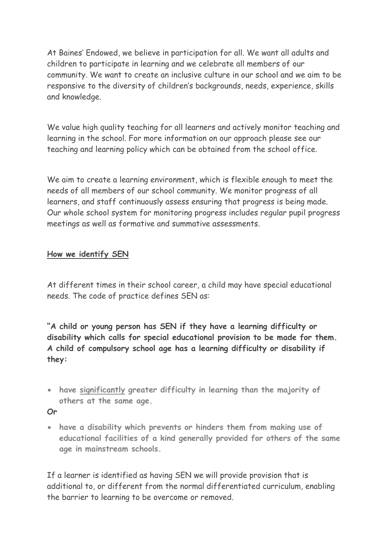At Baines' Endowed, we believe in participation for all. We want all adults and children to participate in learning and we celebrate all members of our community. We want to create an inclusive culture in our school and we aim to be responsive to the diversity of children's backgrounds, needs, experience, skills and knowledge.

We value high quality teaching for all learners and actively monitor teaching and learning in the school. For more information on our approach please see our teaching and learning policy which can be obtained from the school office.

We aim to create a learning environment, which is flexible enough to meet the needs of all members of our school community. We monitor progress of all learners, and staff continuously assess ensuring that progress is being made. Our whole school system for monitoring progress includes regular pupil progress meetings as well as formative and summative assessments.

# **How we identify SEN**

At different times in their school career, a child may have special educational needs. The code of practice defines SEN as:

**"A child or young person has SEN if they have a learning difficulty or disability which calls for special educational provision to be made for them. A child of compulsory school age has a learning difficulty or disability if they:**

- **have significantly greater difficulty in learning than the majority of others at the same age.**
- **Or**
- **have a disability which prevents or hinders them from making use of educational facilities of a kind generally provided for others of the same age in mainstream schools.**

If a learner is identified as having SEN we will provide provision that is additional to, or different from the normal differentiated curriculum, enabling the barrier to learning to be overcome or removed.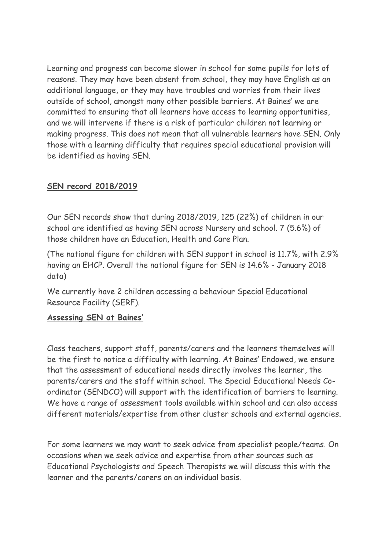Learning and progress can become slower in school for some pupils for lots of reasons. They may have been absent from school, they may have English as an additional language, or they may have troubles and worries from their lives outside of school, amongst many other possible barriers. At Baines' we are committed to ensuring that all learners have access to learning opportunities, and we will intervene if there is a risk of particular children not learning or making progress. This does not mean that all vulnerable learners have SEN. Only those with a learning difficulty that requires special educational provision will be identified as having SEN.

# **SEN record 2018/2019**

Our SEN records show that during 2018/2019, 125 (22%) of children in our school are identified as having SEN across Nursery and school. 7 (5.6%) of those children have an Education, Health and Care Plan.

(The national figure for children with SEN support in school is 11.7%, with 2.9% having an EHCP. Overall the national figure for SEN is 14.6% - January 2018 data)

We currently have 2 children accessing a behaviour Special Educational Resource Facility (SERF).

# **Assessing SEN at Baines'**

Class teachers, support staff, parents/carers and the learners themselves will be the first to notice a difficulty with learning. At Baines' Endowed, we ensure that the assessment of educational needs directly involves the learner, the parents/carers and the staff within school. The Special Educational Needs Coordinator (SENDCO) will support with the identification of barriers to learning. We have a range of assessment tools available within school and can also access different materials/expertise from other cluster schools and external agencies.

For some learners we may want to seek advice from specialist people/teams. On occasions when we seek advice and expertise from other sources such as Educational Psychologists and Speech Therapists we will discuss this with the learner and the parents/carers on an individual basis.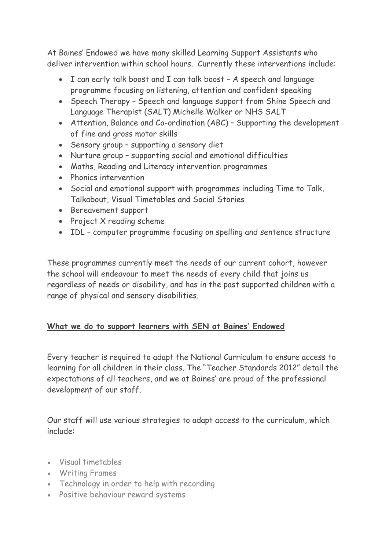At Baines' Endowed we have many skilled Learning Support Assistants who deliver intervention within school hours. Currently these interventions include:

- I can early talk boost and I can talk boost A speech and language programme focusing on listening, attention and confident speaking
- Speech Therapy Speech and language support from Shine Speech and Language Therapist (SALT) Michelle Walker or NHS SALT
- Attention, Balance and Co-ordination (ABC) Supporting the development of fine and gross motor skills
- Sensory group supporting a sensory diet
- Nurture group supporting social and emotional difficulties
- Maths, Reading and Literacy intervention programmes
- Phonics intervention
- Social and emotional support with programmes including Time to Talk, Talkabout, Visual Timetables and Social Stories
- Bereavement support
- Project X reading scheme
- IDL computer programme focusing on spelling and sentence structure

These programmes currently meet the needs of our current cohort, however the school will endeavour to meet the needs of every child that joins us regardless of needs or disability, and has in the past supported children with a range of physical and sensory disabilities.

# **What we do to support learners with SEN at Baines' Endowed**

Every teacher is required to adapt the National Curriculum to ensure access to learning for all children in their class. The "Teacher Standards 2012" detail the expectations of all teachers, and we at Baines' are proud of the professional development of our staff.

Our staff will use various strategies to adapt access to the curriculum, which include:

- Visual timetables
- Writing Frames
- Technology in order to help with recording
- Positive behaviour reward systems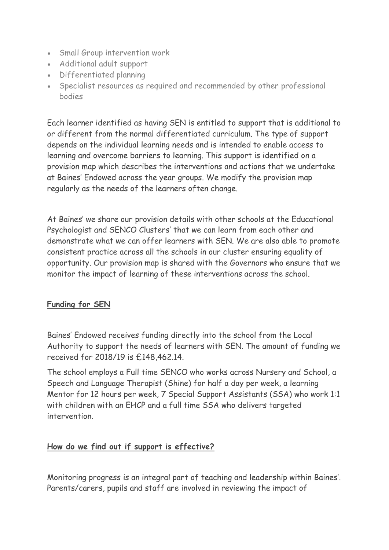- Small Group intervention work
- Additional adult support
- Differentiated planning
- Specialist resources as required and recommended by other professional bodies

Each learner identified as having SEN is entitled to support that is additional to or different from the normal differentiated curriculum. The type of support depends on the individual learning needs and is intended to enable access to learning and overcome barriers to learning. This support is identified on a provision map which describes the interventions and actions that we undertake at Baines' Endowed across the year groups. We modify the provision map regularly as the needs of the learners often change.

At Baines' we share our provision details with other schools at the Educational Psychologist and SENCO Clusters' that we can learn from each other and demonstrate what we can offer learners with SEN. We are also able to promote consistent practice across all the schools in our cluster ensuring equality of opportunity. Our provision map is shared with the Governors who ensure that we monitor the impact of learning of these interventions across the school.

#### **Funding for SEN**

Baines' Endowed receives funding directly into the school from the Local Authority to support the needs of learners with SEN. The amount of funding we received for 2018/19 is £148,462.14.

The school employs a Full time SENCO who works across Nursery and School, a Speech and Language Therapist (Shine) for half a day per week, a learning Mentor for 12 hours per week, 7 Special Support Assistants (SSA) who work 1:1 with children with an EHCP and a full time SSA who delivers targeted intervention.

### **How do we find out if support is effective?**

Monitoring progress is an integral part of teaching and leadership within Baines'. Parents/carers, pupils and staff are involved in reviewing the impact of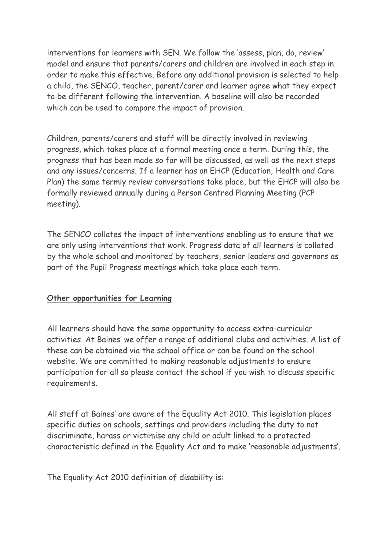interventions for learners with SEN. We follow the 'assess, plan, do, review' model and ensure that parents/carers and children are involved in each step in order to make this effective. Before any additional provision is selected to help a child, the SENCO, teacher, parent/carer and learner agree what they expect to be different following the intervention. A baseline will also be recorded which can be used to compare the impact of provision.

Children, parents/carers and staff will be directly involved in reviewing progress, which takes place at a formal meeting once a term. During this, the progress that has been made so far will be discussed, as well as the next steps and any issues/concerns. If a learner has an EHCP (Education, Health and Care Plan) the same termly review conversations take place, but the EHCP will also be formally reviewed annually during a Person Centred Planning Meeting (PCP meeting).

The SENCO collates the impact of interventions enabling us to ensure that we are only using interventions that work. Progress data of all learners is collated by the whole school and monitored by teachers, senior leaders and governors as part of the Pupil Progress meetings which take place each term.

#### **Other opportunities for Learning**

All learners should have the same opportunity to access extra-curricular activities. At Baines' we offer a range of additional clubs and activities. A list of these can be obtained via the school office or can be found on the school website. We are committed to making reasonable adjustments to ensure participation for all so please contact the school if you wish to discuss specific requirements.

All staff at Baines' are aware of the Equality Act 2010. This legislation places specific duties on schools, settings and providers including the duty to not discriminate, harass or victimise any child or adult linked to a protected characteristic defined in the Equality Act and to make 'reasonable adjustments'.

The Equality Act 2010 definition of disability is: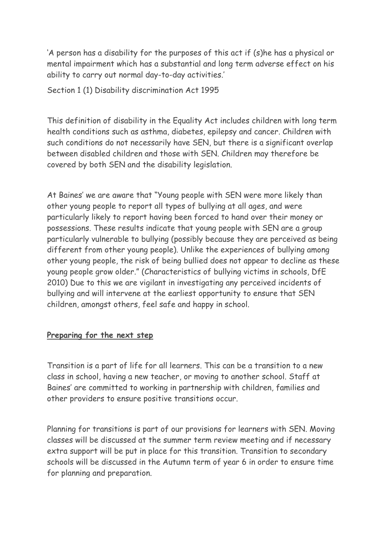'A person has a disability for the purposes of this act if (s)he has a physical or mental impairment which has a substantial and long term adverse effect on his ability to carry out normal day-to-day activities.'

Section 1 (1) Disability discrimination Act 1995

This definition of disability in the Equality Act includes children with long term health conditions such as asthma, diabetes, epilepsy and cancer. Children with such conditions do not necessarily have SEN, but there is a significant overlap between disabled children and those with SEN. Children may therefore be covered by both SEN and the disability legislation.

At Baines' we are aware that "Young people with SEN were more likely than other young people to report all types of bullying at all ages, and were particularly likely to report having been forced to hand over their money or possessions. These results indicate that young people with SEN are a group particularly vulnerable to bullying (possibly because they are perceived as being different from other young people). Unlike the experiences of bullying among other young people, the risk of being bullied does not appear to decline as these young people grow older." (Characteristics of bullying victims in schools, DfE 2010) Due to this we are vigilant in investigating any perceived incidents of bullying and will intervene at the earliest opportunity to ensure that SEN children, amongst others, feel safe and happy in school.

# **Preparing for the next step**

Transition is a part of life for all learners. This can be a transition to a new class in school, having a new teacher, or moving to another school. Staff at Baines' are committed to working in partnership with children, families and other providers to ensure positive transitions occur.

Planning for transitions is part of our provisions for learners with SEN. Moving classes will be discussed at the summer term review meeting and if necessary extra support will be put in place for this transition. Transition to secondary schools will be discussed in the Autumn term of year 6 in order to ensure time for planning and preparation.